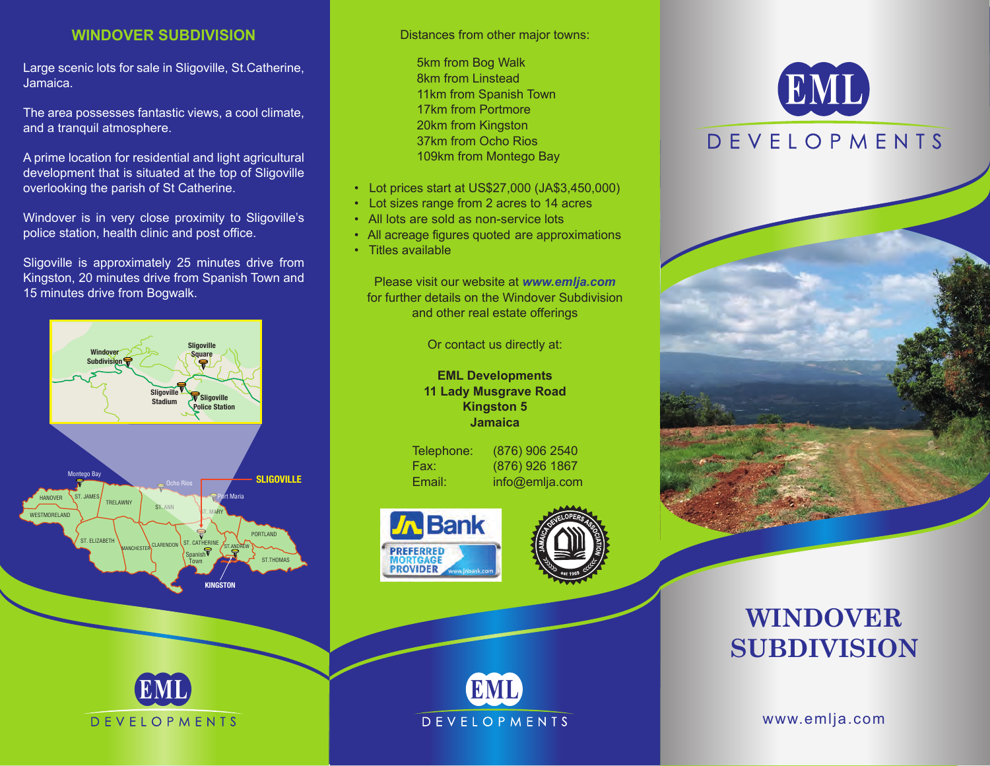## **WINDOVER SUBDIVISION**

Large scenic lots for sale in Sligoville, St.Catherine, Jamaica.

The area possesses fantastic views, a cool climate, and a tranquil atmosphere.

A prime location for residential and light agricultural development that is situated at the top of Sligoville overlooking the parish of St Catherine.

Windover is in very close proximity to Sligoville's police station, health clinic and post office.

Sligoville is approximately 25 minutes drive from Kingston, 20 minutes drive from Spanish Town and 15 minutes drive from Bogwalk.



**DEVELOPMENTS** 

Distances from other major towns:

5km from Bog Walk 8km from Linstead 11km from Spanish Town 17km from Portmore 20km from Kingston 37km from Ocho Rios 109km from Montego Bay

- Lot prices start at US\$27,000 (JA\$3,450,000)
- Lot sizes range from 2 acres to 14 acres
- All lots are sold as non-service lots
- All acreage figures quoted are approximations
- Titles available

Please visit our website at *www.emlja.com* for further details on the Windover Subdivision and other real estate offerings

Or contact us directly at:

**EML Developments 11 Lady Musgrave Road Kingston 5 Jamaica** 

| Telephon |
|----------|
| Fax:     |
| Email:   |

(876) 906 2540 (876) 926 1867 info@emlja.com







## EML **DEVELOPMENTS**



## **WINDOVER SUBDIVISION**

www.emlja.com